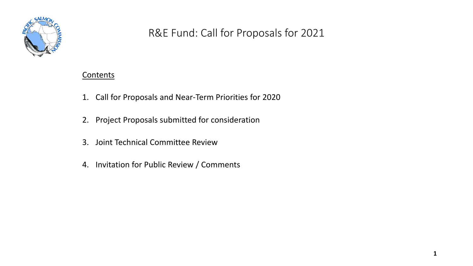

## R&E Fund: Call for Proposals for 2021

### **Contents**

- 1. Call for Proposals and Near-Term Priorities for 2020
- 2. Project Proposals submitted for consideration
- 3. Joint Technical Committee Review
- 4. Invitation for Public Review / Comments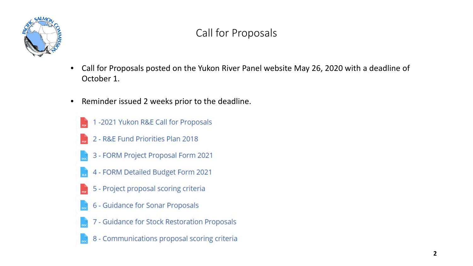

# Call for Proposals

- Call for Proposals posted on the Yukon River Panel website May 26, 2020 with a deadline of October 1.
- Reminder issued 2 weeks prior to the deadline.
	- -2021 Yukon R&E Call for Proposals 2 - R&E Fund Priorities Plan 2018
	- 3 FORM Project Proposal Form 2021
	- 4 FORM Detailed Budget Form 2021
	- 5 Project proposal scoring criteria
	- 6 Guidance for Sonar Proposals
	- 7 Guidance for Stock Restoration Proposals
	- 8 Communications proposal scoring criteria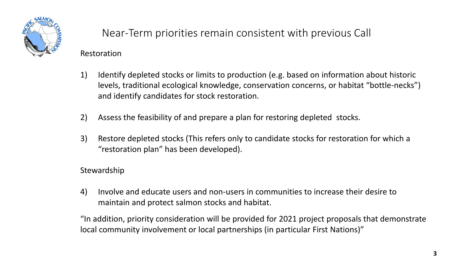

# Near-Term priorities remain consistent with previous Call

#### Restoration

- 1) Identify depleted stocks or limits to production (e.g. based on information about historic levels, traditional ecological knowledge, conservation concerns, or habitat "bottle-necks") and identify candidates for stock restoration.
- 2) Assess the feasibility of and prepare a plan for restoring depleted stocks.
- 3) Restore depleted stocks (This refers only to candidate stocks for restoration for which a "restoration plan" has been developed).

### Stewardship

4) Involve and educate users and non-users in communities to increase their desire to maintain and protect salmon stocks and habitat.

"In addition, priority consideration will be provided for 2021 project proposals that demonstrate local community involvement or local partnerships (in particular First Nations)"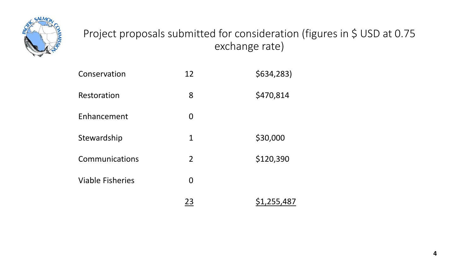

# Project proposals submitted for consideration (figures in \$ USD at 0.75 exchange rate)

| Conservation            | 12             | \$634,283)  |
|-------------------------|----------------|-------------|
| Restoration             | 8              | \$470,814   |
| Enhancement             | 0              |             |
| Stewardship             | 1              | \$30,000    |
| Communications          | $\overline{2}$ | \$120,390   |
| <b>Viable Fisheries</b> | 0              |             |
|                         | 23             | \$1,255,487 |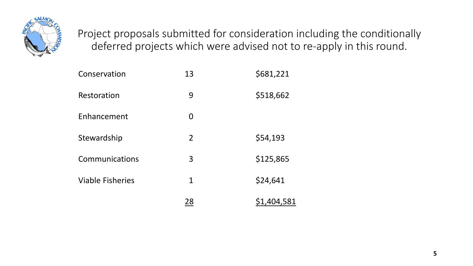

Project proposals submitted for consideration including the conditionally deferred projects which were advised not to re-apply in this round.

| Conservation            | 13             | \$681,221   |
|-------------------------|----------------|-------------|
| Restoration             | 9              | \$518,662   |
| Enhancement             | 0              |             |
| Stewardship             | $\overline{2}$ | \$54,193    |
| Communications          | 3              | \$125,865   |
| <b>Viable Fisheries</b> | $\mathbf 1$    | \$24,641    |
|                         | 28             | \$1,404,581 |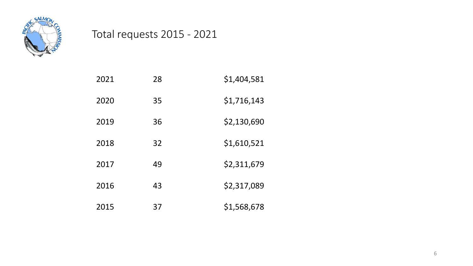

# Total requests 2015 - 2021

| 2021 | 28 | \$1,404,581 |
|------|----|-------------|
| 2020 | 35 | \$1,716,143 |
| 2019 | 36 | \$2,130,690 |
| 2018 | 32 | \$1,610,521 |
| 2017 | 49 | \$2,311,679 |
| 2016 | 43 | \$2,317,089 |
| 2015 | 37 | \$1,568,678 |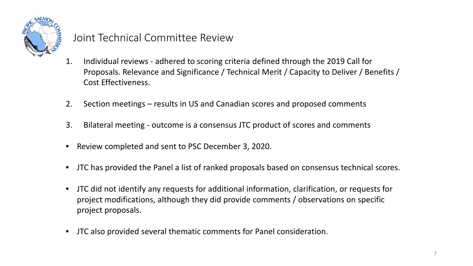

### Joint Technical Committee Review

- 1. Individual reviews adhered to scoring criteria defined through the 2019 Call for Proposals. Relevance and Significance / Technical Merit / Capacity to Deliver / Benefits / Cost Effectiveness.
- 2. Section meetings results in US and Canadian scores and proposed comments
- 3. Bilateral meeting outcome is a consensus JTC product of scores and comments
- Review completed and sent to PSC December 3, 2020.
- JTC has provided the Panel a list of ranked proposals based on consensus technical scores.
- JTC did not identify any requests for additional information, clarification, or requests for project modifications, although they did provide comments / observations on specific project proposals.
- JTC also provided several thematic comments for Panel consideration.